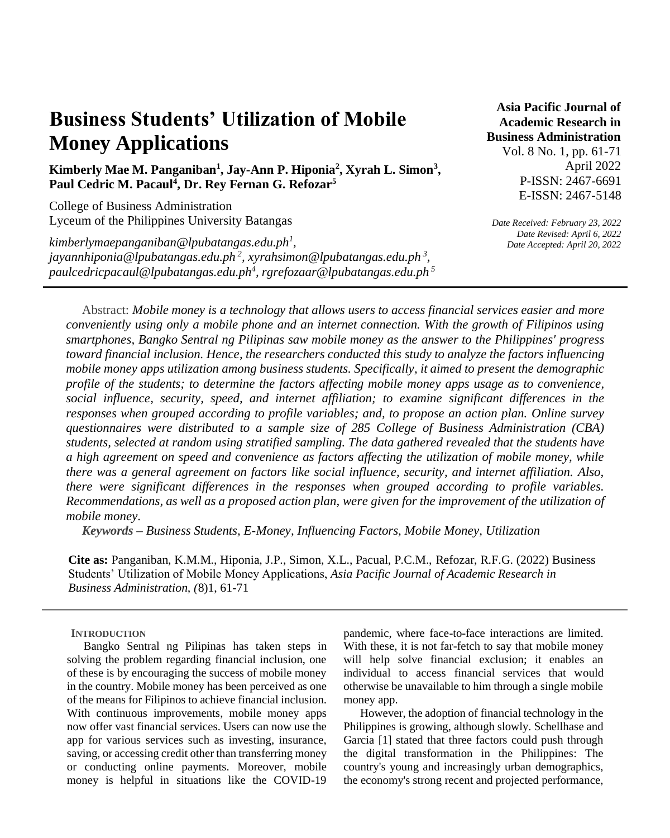# **Business Students' Utilization of Mobile Money Applications**

## **Kimberly Mae M. Panganiban<sup>1</sup> , Jay-Ann P. Hiponia<sup>2</sup> , Xyrah L. Simon<sup>3</sup> , Paul Cedric M. Pacaul<sup>4</sup> , Dr. Rey Fernan G. Refozar<sup>5</sup>**

College of Business Administration Lyceum of the Philippines University Batangas

*kimberlymaepanganiban@lpubatangas.edu.ph<sup>1</sup> , jayannhiponia@lpubatangas.edu.ph <sup>2</sup> , xyrahsimon@lpubatangas.edu.ph <sup>3</sup> , [paulcedricpacaul@lpubatangas.edu.ph](mailto:paulcedricpacaul@lpubatangas.edu.ph4)<sup>4</sup> , rgrefozaar@lpubatangas.edu.ph 5*

**Asia Pacific Journal of Academic Research in Business Administration** 

> Vol. 8 No. 1, pp. 61-71 April 2022 P-ISSN: 2467-6691 E-ISSN: 2467-5148

*Date Received: February 23, 2022 Date Revised: April 6, 2022 Date Accepted: April 20, 2022*

Abstract: *Mobile money is a technology that allows users to access financial services easier and more conveniently using only a mobile phone and an internet connection. With the growth of Filipinos using smartphones, Bangko Sentral ng Pilipinas saw mobile money as the answer to the Philippines' progress toward financial inclusion. Hence, the researchers conducted this study to analyze the factors influencing mobile money apps utilization among business students. Specifically, it aimed to present the demographic profile of the students; to determine the factors affecting mobile money apps usage as to convenience, social influence, security, speed, and internet affiliation; to examine significant differences in the responses when grouped according to profile variables; and, to propose an action plan. Online survey questionnaires were distributed to a sample size of 285 College of Business Administration (CBA) students, selected at random using stratified sampling. The data gathered revealed that the students have a high agreement on speed and convenience as factors affecting the utilization of mobile money, while there was a general agreement on factors like social influence, security, and internet affiliation. Also, there were significant differences in the responses when grouped according to profile variables. Recommendations, as well as a proposed action plan, were given for the improvement of the utilization of mobile money.*

*Keywords – Business Students, E-Money, Influencing Factors, Mobile Money, Utilization* 

**Cite as:** Panganiban, K.M.M., Hiponia, J.P., Simon, X.L., Pacual, P.C.M., Refozar, R.F.G. (2022) Business Students' Utilization of Mobile Money Applications, *Asia Pacific Journal of Academic Research in Business Administration, (*8)1, 61-71

#### **INTRODUCTION**

Bangko Sentral ng Pilipinas has taken steps in solving the problem regarding financial inclusion, one of these is by encouraging the success of mobile money in the country. Mobile money has been perceived as one of the means for Filipinos to achieve financial inclusion. With continuous improvements, mobile money apps now offer vast financial services. Users can now use the app for various services such as investing, insurance, saving, or accessing credit other than transferring money or conducting online payments. Moreover, mobile money is helpful in situations like the COVID-19 pandemic, where face-to-face interactions are limited. With these, it is not far-fetch to say that mobile money will help solve financial exclusion; it enables an individual to access financial services that would otherwise be unavailable to him through a single mobile money app.

However, the adoption of financial technology in the Philippines is growing, although slowly. Schellhase and Garcia [1] stated that three factors could push through the digital transformation in the Philippines: The country's young and increasingly urban demographics, the economy's strong recent and projected performance,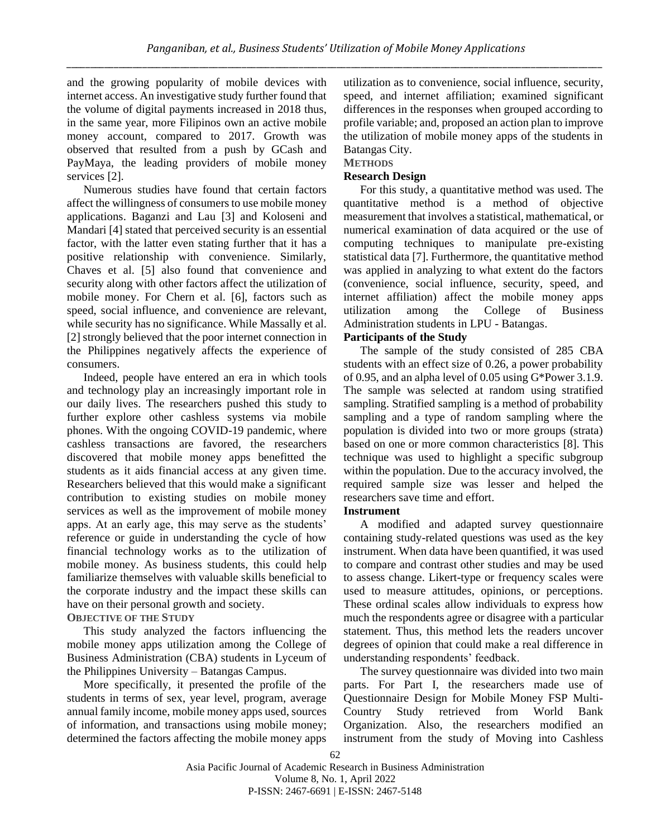and the growing popularity of mobile devices with internet access. An investigative study further found that the volume of digital payments increased in 2018 thus, in the same year, more Filipinos own an active mobile money account, compared to 2017. Growth was observed that resulted from a push by GCash and PayMaya, the leading providers of mobile money services [2].

Numerous studies have found that certain factors affect the willingness of consumers to use mobile money applications. Baganzi and Lau [3] and Koloseni and Mandari [4] stated that perceived security is an essential factor, with the latter even stating further that it has a positive relationship with convenience. Similarly, Chaves et al. [5] also found that convenience and security along with other factors affect the utilization of mobile money. For Chern et al. [6], factors such as speed, social influence, and convenience are relevant, while security has no significance. While Massally et al. [2] strongly believed that the poor internet connection in the Philippines negatively affects the experience of consumers.

Indeed, people have entered an era in which tools and technology play an increasingly important role in our daily lives. The researchers pushed this study to further explore other cashless systems via mobile phones. With the ongoing COVID-19 pandemic, where cashless transactions are favored, the researchers discovered that mobile money apps benefitted the students as it aids financial access at any given time. Researchers believed that this would make a significant contribution to existing studies on mobile money services as well as the improvement of mobile money apps. At an early age, this may serve as the students' reference or guide in understanding the cycle of how financial technology works as to the utilization of mobile money. As business students, this could help familiarize themselves with valuable skills beneficial to the corporate industry and the impact these skills can have on their personal growth and society.

### **OBJECTIVE OF THE STUDY**

This study analyzed the factors influencing the mobile money apps utilization among the College of Business Administration (CBA) students in Lyceum of the Philippines University – Batangas Campus.

More specifically, it presented the profile of the students in terms of sex, year level, program, average annual family income, mobile money apps used, sources of information, and transactions using mobile money; determined the factors affecting the mobile money apps utilization as to convenience, social influence, security, speed, and internet affiliation; examined significant differences in the responses when grouped according to profile variable; and, proposed an action plan to improve the utilization of mobile money apps of the students in Batangas City.

#### **METHODS**

#### **Research Design**

For this study, a quantitative method was used. The quantitative method is a method of objective measurement that involves a statistical, mathematical, or numerical examination of data acquired or the use of computing techniques to manipulate pre-existing statistical data [7]. Furthermore, the quantitative method was applied in analyzing to what extent do the factors (convenience, social influence, security, speed, and internet affiliation) affect the mobile money apps utilization among the College of Business Administration students in LPU - Batangas.

#### **Participants of the Study**

The sample of the study consisted of 285 CBA students with an effect size of 0.26, a power probability of 0.95, and an alpha level of 0.05 using G\*Power 3.1.9. The sample was selected at random using stratified sampling. Stratified sampling is a method of probability sampling and a type of random sampling where the population is divided into two or more groups (strata) based on one or more common characteristics [8]. This technique was used to highlight a specific subgroup within the population. Due to the accuracy involved, the required sample size was lesser and helped the researchers save time and effort.

#### **Instrument**

A modified and adapted survey questionnaire containing study-related questions was used as the key instrument. When data have been quantified, it was used to compare and contrast other studies and may be used to assess change. Likert-type or frequency scales were used to measure attitudes, opinions, or perceptions. These ordinal scales allow individuals to express how much the respondents agree or disagree with a particular statement. Thus, this method lets the readers uncover degrees of opinion that could make a real difference in understanding respondents' feedback.

The survey questionnaire was divided into two main parts. For Part I, the researchers made use of Questionnaire Design for Mobile Money FSP Multi-Country Study retrieved from World Bank Organization. Also, the researchers modified an instrument from the study of Moving into Cashless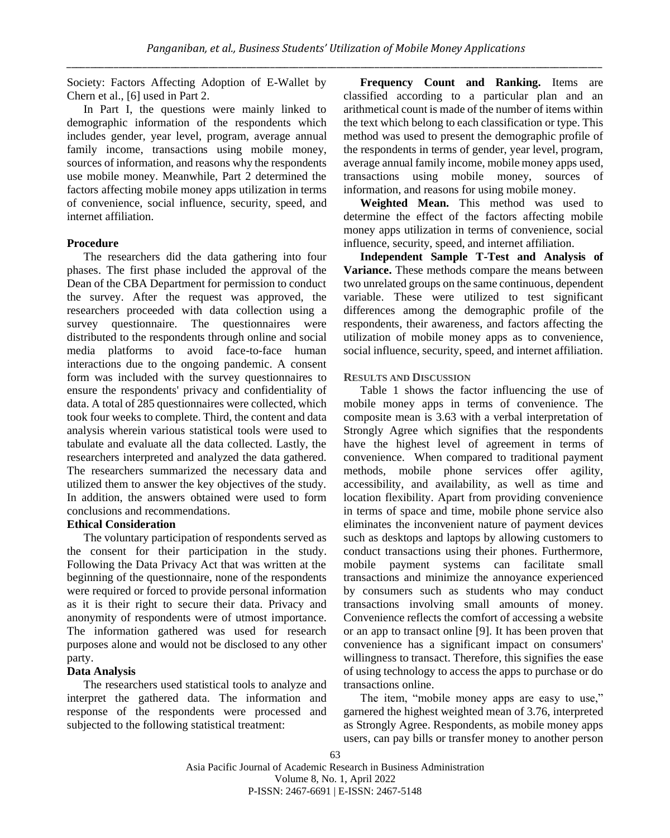Society: Factors Affecting Adoption of E-Wallet by Chern et al., [6] used in Part 2.

In Part I, the questions were mainly linked to demographic information of the respondents which includes gender, year level, program, average annual family income, transactions using mobile money, sources of information, and reasons why the respondents use mobile money. Meanwhile, Part 2 determined the factors affecting mobile money apps utilization in terms of convenience, social influence, security, speed, and internet affiliation.

#### **Procedure**

The researchers did the data gathering into four phases. The first phase included the approval of the Dean of the CBA Department for permission to conduct the survey. After the request was approved, the researchers proceeded with data collection using a survey questionnaire. The questionnaires were distributed to the respondents through online and social media platforms to avoid face-to-face human interactions due to the ongoing pandemic. A consent form was included with the survey questionnaires to ensure the respondents' privacy and confidentiality of data. A total of 285 questionnaires were collected, which took four weeks to complete. Third, the content and data analysis wherein various statistical tools were used to tabulate and evaluate all the data collected. Lastly, the researchers interpreted and analyzed the data gathered. The researchers summarized the necessary data and utilized them to answer the key objectives of the study. In addition, the answers obtained were used to form conclusions and recommendations.

#### **Ethical Consideration**

The voluntary participation of respondents served as the consent for their participation in the study. Following the Data Privacy Act that was written at the beginning of the questionnaire, none of the respondents were required or forced to provide personal information as it is their right to secure their data. Privacy and anonymity of respondents were of utmost importance. The information gathered was used for research purposes alone and would not be disclosed to any other party.

#### **Data Analysis**

The researchers used statistical tools to analyze and interpret the gathered data. The information and response of the respondents were processed and subjected to the following statistical treatment:

**Frequency Count and Ranking.** Items are classified according to a particular plan and an arithmetical count is made of the number of items within the text which belong to each classification or type. This method was used to present the demographic profile of the respondents in terms of gender, year level, program, average annual family income, mobile money apps used, transactions using mobile money, sources information, and reasons for using mobile money.

**Weighted Mean.** This method was used to determine the effect of the factors affecting mobile money apps utilization in terms of convenience, social influence, security, speed, and internet affiliation.

**Independent Sample T-Test and Analysis of Variance.** These methods compare the means between two unrelated groups on the same continuous, dependent variable. These were utilized to test significant differences among the demographic profile of the respondents, their awareness, and factors affecting the utilization of mobile money apps as to convenience, social influence, security, speed, and internet affiliation.

#### **RESULTS AND DISCUSSION**

Table 1 shows the factor influencing the use of mobile money apps in terms of convenience. The composite mean is 3.63 with a verbal interpretation of Strongly Agree which signifies that the respondents have the highest level of agreement in terms of convenience. When compared to traditional payment methods, mobile phone services offer agility, accessibility, and availability, as well as time and location flexibility. Apart from providing convenience in terms of space and time, mobile phone service also eliminates the inconvenient nature of payment devices such as desktops and laptops by allowing customers to conduct transactions using their phones. Furthermore, mobile payment systems can facilitate small transactions and minimize the annoyance experienced by consumers such as students who may conduct transactions involving small amounts of money. Convenience reflects the comfort of accessing a website or an app to transact online [9]. It has been proven that convenience has a significant impact on consumers' willingness to transact. Therefore, this signifies the ease of using technology to access the apps to purchase or do transactions online.

The item, "mobile money apps are easy to use," garnered the highest weighted mean of 3.76, interpreted as Strongly Agree. Respondents, as mobile money apps users, can pay bills or transfer money to another person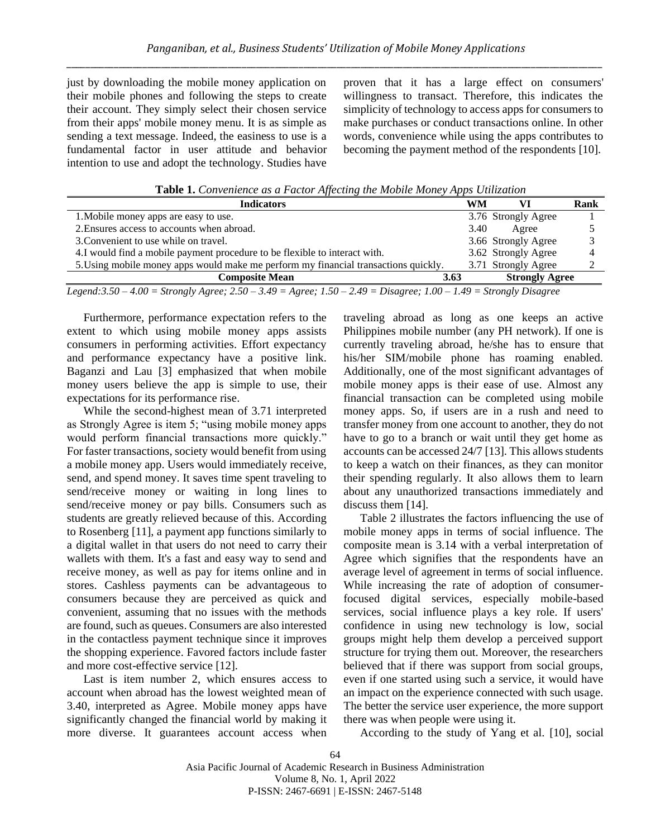just by downloading the mobile money application on their mobile phones and following the steps to create their account. They simply select their chosen service from their apps' mobile money menu. It is as simple as sending a text message. Indeed, the easiness to use is a fundamental factor in user attitude and behavior intention to use and adopt the technology. Studies have proven that it has a large effect on consumers' willingness to transact. Therefore, this indicates the simplicity of technology to access apps for consumers to make purchases or conduct transactions online. In other words, convenience while using the apps contributes to becoming the payment method of the respondents [10].

**Table 1.** *Convenience as a Factor Affecting the Mobile Money Apps Utilization*

| <b>Indicators</b>                                                                                                                                                                                                                                | WM   |                       | Rank |  |  |
|--------------------------------------------------------------------------------------------------------------------------------------------------------------------------------------------------------------------------------------------------|------|-----------------------|------|--|--|
| 1. Mobile money apps are easy to use.                                                                                                                                                                                                            |      | 3.76 Strongly Agree   |      |  |  |
| 2. Ensures access to accounts when abroad.                                                                                                                                                                                                       | 3.40 | Agree                 |      |  |  |
| 3. Convenient to use while on travel.                                                                                                                                                                                                            |      | 3.66 Strongly Agree   |      |  |  |
| 4.I would find a mobile payment procedure to be flexible to interact with.                                                                                                                                                                       |      | 3.62 Strongly Agree   |      |  |  |
| 5. Using mobile money apps would make me perform my financial transactions quickly.                                                                                                                                                              |      | 3.71 Strongly Agree   |      |  |  |
| <b>Composite Mean</b>                                                                                                                                                                                                                            | 3.63 | <b>Strongly Agree</b> |      |  |  |
| $I_1, \ldots, I_n$ $I_0$ $I_1$ $I_2, \ldots, I_n$ $I_1, \ldots, I_n$ $I_0$ $I_1$ $I_0$ $I_1$ $I_0$ $I_1$ $I_0$ $I_1$ $I_1$ $I_1$ $I_2$ $I_2$ $I_3$ $I_4$ $I_5$ $I_6$ $I_7$ $I_8$ $I_9$ $I_9$ $I_1$ $I_2$ $I_3$ $I_4$ $I_5$ $I_7$ $I_8$ $I_9$ $I$ |      |                       |      |  |  |

*Legend:3.50 – 4.00 = Strongly Agree; 2.50 – 3.49 = Agree; 1.50 – 2.49 = Disagree; 1.00 – 1.49 = Strongly Disagree*

Furthermore, performance expectation refers to the extent to which using mobile money apps assists consumers in performing activities. Effort expectancy and performance expectancy have a positive link. Baganzi and Lau [3] emphasized that when mobile money users believe the app is simple to use, their expectations for its performance rise.

While the second-highest mean of 3.71 interpreted as Strongly Agree is item 5; "using mobile money apps would perform financial transactions more quickly." For faster transactions, society would benefit from using a mobile money app. Users would immediately receive, send, and spend money. It saves time spent traveling to send/receive money or waiting in long lines to send/receive money or pay bills. Consumers such as students are greatly relieved because of this. According to Rosenberg [11], a payment app functions similarly to a digital wallet in that users do not need to carry their wallets with them. It's a fast and easy way to send and receive money, as well as pay for items online and in stores. Cashless payments can be advantageous to consumers because they are perceived as quick and convenient, assuming that no issues with the methods are found, such as queues. Consumers are also interested in the contactless payment technique since it improves the shopping experience. Favored factors include faster and more cost-effective service [12].

Last is item number 2, which ensures access to account when abroad has the lowest weighted mean of 3.40, interpreted as Agree. Mobile money apps have significantly changed the financial world by making it more diverse. It guarantees account access when traveling abroad as long as one keeps an active Philippines mobile number (any PH network). If one is currently traveling abroad, he/she has to ensure that his/her SIM/mobile phone has roaming enabled. Additionally, one of the most significant advantages of mobile money apps is their ease of use. Almost any financial transaction can be completed using mobile money apps. So, if users are in a rush and need to transfer money from one account to another, they do not have to go to a branch or wait until they get home as accounts can be accessed 24/7 [13]. This allows students to keep a watch on their finances, as they can monitor their spending regularly. It also allows them to learn about any unauthorized transactions immediately and discuss them [14].

Table 2 illustrates the factors influencing the use of mobile money apps in terms of social influence. The composite mean is 3.14 with a verbal interpretation of Agree which signifies that the respondents have an average level of agreement in terms of social influence. While increasing the rate of adoption of consumerfocused digital services, especially mobile-based services, social influence plays a key role. If users' confidence in using new technology is low, social groups might help them develop a perceived support structure for trying them out. Moreover, the researchers believed that if there was support from social groups, even if one started using such a service, it would have an impact on the experience connected with such usage. The better the service user experience, the more support there was when people were using it.

According to the study of Yang et al. [10], social

64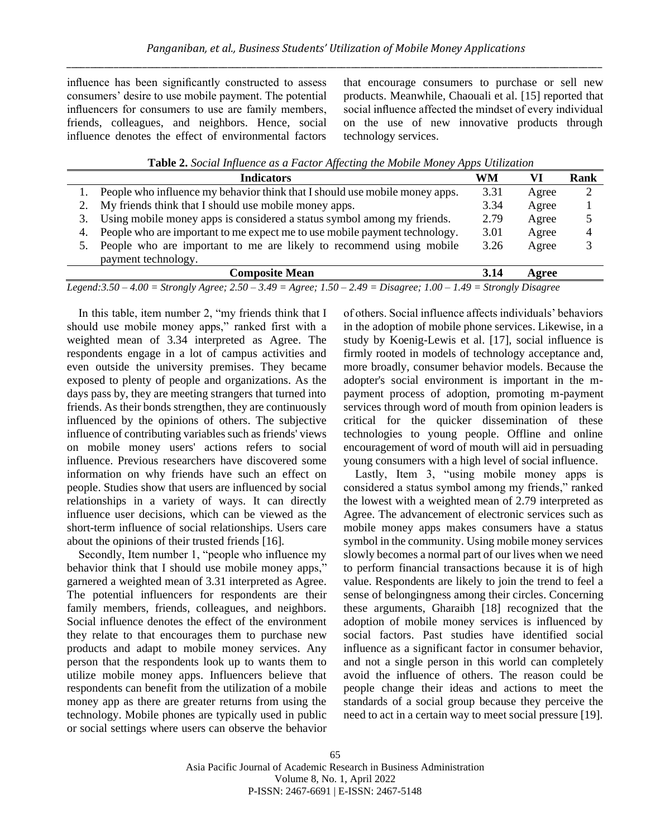influence has been significantly constructed to assess consumers' desire to use mobile payment. The potential influencers for consumers to use are family members, friends, colleagues, and neighbors. Hence, social influence denotes the effect of environmental factors

that encourage consumers to purchase or sell new products. Meanwhile, Chaouali et al. [15] reported that social influence affected the mindset of every individual on the use of new innovative products through technology services.

|    | <b>Indicators</b>                                                           | WM   | VI    | Rank |
|----|-----------------------------------------------------------------------------|------|-------|------|
|    | People who influence my behavior think that I should use mobile money apps. | 3.31 | Agree |      |
|    | My friends think that I should use mobile money apps.                       | 3.34 | Agree |      |
|    | Using mobile money apps is considered a status symbol among my friends.     | 2.79 | Agree |      |
| 4. | People who are important to me expect me to use mobile payment technology.  | 3.01 | Agree |      |
|    | People who are important to me are likely to recommend using mobile         | 3.26 | Agree |      |
|    | payment technology.                                                         |      |       |      |
|    | <b>Composite Mean</b>                                                       | 3.14 | Agree |      |

*Legend:3.50 – 4.00 = Strongly Agree; 2.50 – 3.49 = Agree; 1.50 – 2.49 = Disagree; 1.00 – 1.49 = Strongly Disagree*

In this table, item number 2, "my friends think that I should use mobile money apps," ranked first with a weighted mean of 3.34 interpreted as Agree. The respondents engage in a lot of campus activities and even outside the university premises. They became exposed to plenty of people and organizations. As the days pass by, they are meeting strangers that turned into friends. As their bonds strengthen, they are continuously influenced by the opinions of others. The subjective influence of contributing variables such as friends' views on mobile money users' actions refers to social influence. Previous researchers have discovered some information on why friends have such an effect on people. Studies show that users are influenced by social relationships in a variety of ways. It can directly influence user decisions, which can be viewed as the short-term influence of social relationships. Users care about the opinions of their trusted friends [16].

Secondly, Item number 1, "people who influence my behavior think that I should use mobile money apps," garnered a weighted mean of 3.31 interpreted as Agree. The potential influencers for respondents are their family members, friends, colleagues, and neighbors. Social influence denotes the effect of the environment they relate to that encourages them to purchase new products and adapt to mobile money services. Any person that the respondents look up to wants them to utilize mobile money apps. Influencers believe that respondents can benefit from the utilization of a mobile money app as there are greater returns from using the technology. Mobile phones are typically used in public or social settings where users can observe the behavior

of others. Social influence affects individuals' behaviors in the adoption of mobile phone services. Likewise, in a study by Koenig-Lewis et al. [17], social influence is firmly rooted in models of technology acceptance and, more broadly, consumer behavior models. Because the adopter's social environment is important in the mpayment process of adoption, promoting m-payment services through word of mouth from opinion leaders is critical for the quicker dissemination of these technologies to young people. Offline and online encouragement of word of mouth will aid in persuading young consumers with a high level of social influence.

Lastly, Item 3, "using mobile money apps is considered a status symbol among my friends," ranked the lowest with a weighted mean of 2.79 interpreted as Agree. The advancement of electronic services such as mobile money apps makes consumers have a status symbol in the community. Using mobile money services slowly becomes a normal part of our lives when we need to perform financial transactions because it is of high value. Respondents are likely to join the trend to feel a sense of belongingness among their circles. Concerning these arguments, Gharaibh [18] recognized that the adoption of mobile money services is influenced by social factors. Past studies have identified social influence as a significant factor in consumer behavior, and not a single person in this world can completely avoid the influence of others. The reason could be people change their ideas and actions to meet the standards of a social group because they perceive the need to act in a certain way to meet social pressure [19].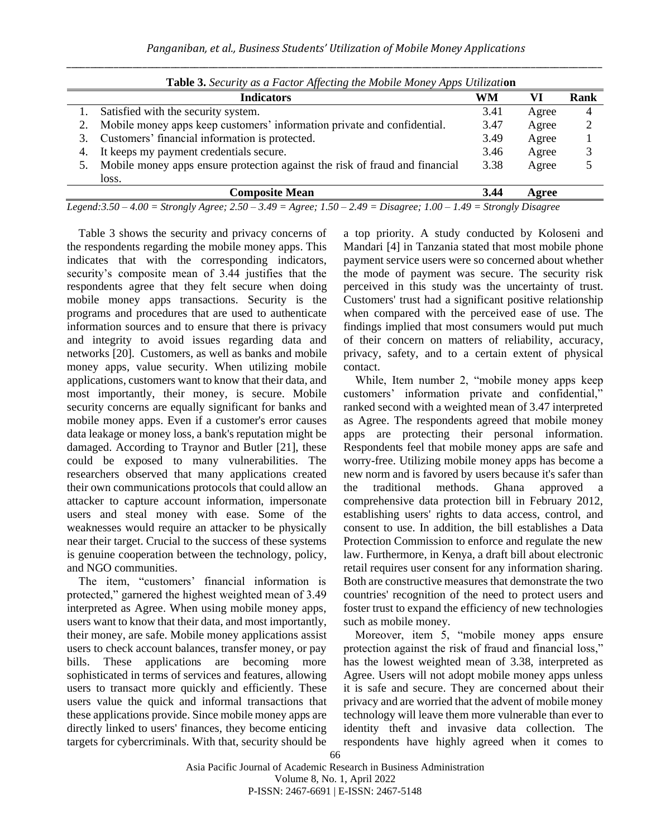| <b>Table 3.</b> Security as a Factor Affecting the Mobile Money Apps Utilization |                                                                                                                              |      |       |      |
|----------------------------------------------------------------------------------|------------------------------------------------------------------------------------------------------------------------------|------|-------|------|
|                                                                                  | <b>Indicators</b>                                                                                                            | WM   | VI    | Rank |
|                                                                                  | Satisfied with the security system.                                                                                          | 3.41 | Agree | 4    |
|                                                                                  | Mobile money apps keep customers' information private and confidential.                                                      | 3.47 | Agree |      |
| 3.                                                                               | Customers' financial information is protected.                                                                               | 3.49 | Agree |      |
| 4.                                                                               | It keeps my payment credentials secure.                                                                                      | 3.46 | Agree |      |
|                                                                                  | Mobile money apps ensure protection against the risk of fraud and financial                                                  | 3.38 | Agree |      |
|                                                                                  | loss.                                                                                                                        |      |       |      |
|                                                                                  | <b>Composite Mean</b>                                                                                                        | 3.44 | Agree |      |
|                                                                                  | $I_{200}$ $(1.250 - 4.00 -$ Strongly Agree: $250 - 3.40 -$ Agree: $150 - 2.40 -$ Discorse: $1.00 - 1.40 -$ Strongly Discorse |      |       |      |

**Table 3.** *Security as a Factor Affecting the Mobile Money Apps Utilizati***on**

*Legend:3.50 – 4.00 = Strongly Agree; 2.50 – 3.49 = Agree; 1.50 – 2.49 = Disagree; 1.00 – 1.49 = Strongly Disagree*

Table 3 shows the security and privacy concerns of the respondents regarding the mobile money apps. This indicates that with the corresponding indicators, security's composite mean of 3.44 justifies that the respondents agree that they felt secure when doing mobile money apps transactions. Security is the programs and procedures that are used to authenticate information sources and to ensure that there is privacy and integrity to avoid issues regarding data and networks [20]. Customers, as well as banks and mobile money apps, value security. When utilizing mobile applications, customers want to know that their data, and most importantly, their money, is secure. Mobile security concerns are equally significant for banks and mobile money apps. Even if a customer's error causes data leakage or money loss, a bank's reputation might be damaged. According to Traynor and Butler [21], these could be exposed to many vulnerabilities. The researchers observed that many applications created their own communications protocols that could allow an attacker to capture account information, impersonate users and steal money with ease. Some of the weaknesses would require an attacker to be physically near their target. Crucial to the success of these systems is genuine cooperation between the technology, policy, and NGO communities.

The item, "customers' financial information is protected," garnered the highest weighted mean of 3.49 interpreted as Agree. When using mobile money apps, users want to know that their data, and most importantly, their money, are safe. Mobile money applications assist users to check account balances, transfer money, or pay bills. These applications are becoming more sophisticated in terms of services and features, allowing users to transact more quickly and efficiently. These users value the quick and informal transactions that these applications provide. Since mobile money apps are directly linked to users' finances, they become enticing targets for cybercriminals. With that, security should be

a top priority. A study conducted by Koloseni and Mandari [4] in Tanzania stated that most mobile phone payment service users were so concerned about whether the mode of payment was secure. The security risk perceived in this study was the uncertainty of trust. Customers' trust had a significant positive relationship when compared with the perceived ease of use. The findings implied that most consumers would put much of their concern on matters of reliability, accuracy, privacy, safety, and to a certain extent of physical contact.

While, Item number 2, "mobile money apps keep customers' information private and confidential," ranked second with a weighted mean of 3.47 interpreted as Agree. The respondents agreed that mobile money apps are protecting their personal information. Respondents feel that mobile money apps are safe and worry-free. Utilizing mobile money apps has become a new norm and is favored by users because it's safer than the traditional methods. Ghana approved a comprehensive data protection bill in February 2012, establishing users' rights to data access, control, and consent to use. In addition, the bill establishes a Data Protection Commission to enforce and regulate the new law. Furthermore, in Kenya, a draft bill about electronic retail requires user consent for any information sharing. Both are constructive measures that demonstrate the two countries' recognition of the need to protect users and foster trust to expand the efficiency of new technologies such as mobile money.

Moreover, item 5, "mobile money apps ensure protection against the risk of fraud and financial loss," has the lowest weighted mean of 3.38, interpreted as Agree. Users will not adopt mobile money apps unless it is safe and secure. They are concerned about their privacy and are worried that the advent of mobile money technology will leave them more vulnerable than ever to identity theft and invasive data collection. The respondents have highly agreed when it comes to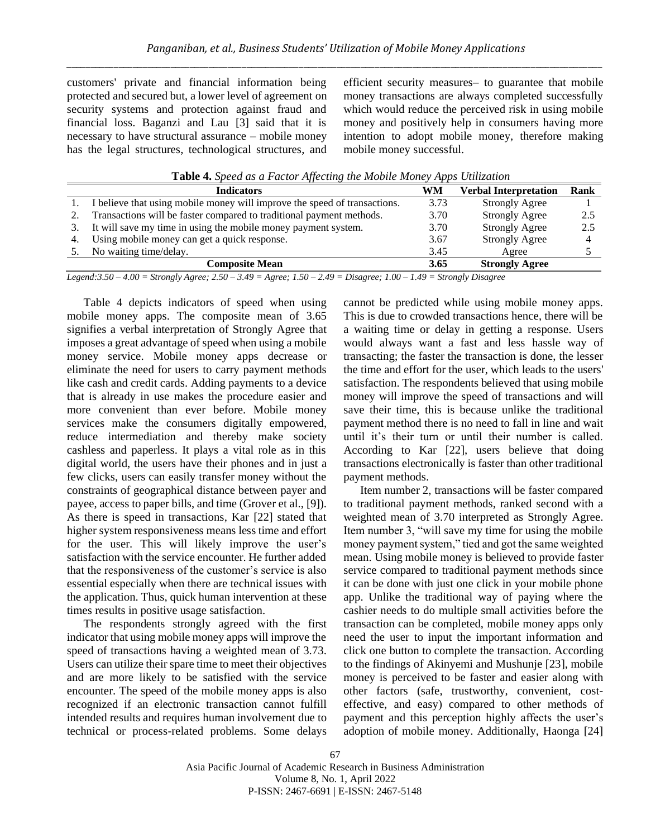customers' private and financial information being protected and secured but, a lower level of agreement on security systems and protection against fraud and financial loss. Baganzi and Lau [3] said that it is necessary to have structural assurance – mobile money has the legal structures, technological structures, and efficient security measures– to guarantee that mobile money transactions are always completed successfully which would reduce the perceived risk in using mobile money and positively help in consumers having more intention to adopt mobile money, therefore making mobile money successful.

**Table 4.** *Speed as a Factor Affecting the Mobile Money Apps Utilization*

| <b>Indicators</b>                                                                                                            | WM   | Verbal Interpretation | Rank |  |
|------------------------------------------------------------------------------------------------------------------------------|------|-----------------------|------|--|
| I believe that using mobile money will improve the speed of transactions.                                                    | 3.73 | <b>Strongly Agree</b> |      |  |
| Transactions will be faster compared to traditional payment methods.                                                         | 3.70 | <b>Strongly Agree</b> | 2.5  |  |
| It will save my time in using the mobile money payment system.                                                               | 3.70 | <b>Strongly Agree</b> | 2.5  |  |
| Using mobile money can get a quick response.                                                                                 | 3.67 | <b>Strongly Agree</b> |      |  |
| No waiting time/delay.                                                                                                       | 3.45 | Agree                 |      |  |
| <b>Composite Mean</b>                                                                                                        | 3.65 | <b>Strongly Agree</b> |      |  |
| $100 - 5$ , $11 - 250 - 310 - 1$ , $150 - 210 - 5$ ; $100 -$<br>$1/10$ $0.1$ $1.1$<br>$\mathbf{r}$ $\mathbf{r}$ $\mathbf{r}$ |      |                       |      |  |

*Legend:3.50 – 4.00 = Strongly Agree; 2.50 – 3.49 = Agree; 1.50 – 2.49 = Disagree; 1.00 – 1.49 = Strongly Disagree*

Table 4 depicts indicators of speed when using mobile money apps. The composite mean of 3.65 signifies a verbal interpretation of Strongly Agree that imposes a great advantage of speed when using a mobile money service. Mobile money apps decrease or eliminate the need for users to carry payment methods like cash and credit cards. Adding payments to a device that is already in use makes the procedure easier and more convenient than ever before. Mobile money services make the consumers digitally empowered, reduce intermediation and thereby make society cashless and paperless. It plays a vital role as in this digital world, the users have their phones and in just a few clicks, users can easily transfer money without the constraints of geographical distance between payer and payee, access to paper bills, and time (Grover et al., [9]). As there is speed in transactions, Kar [22] stated that higher system responsiveness means less time and effort for the user. This will likely improve the user's satisfaction with the service encounter. He further added that the responsiveness of the customer's service is also essential especially when there are technical issues with the application. Thus, quick human intervention at these times results in positive usage satisfaction.

The respondents strongly agreed with the first indicator that using mobile money apps will improve the speed of transactions having a weighted mean of 3.73. Users can utilize their spare time to meet their objectives and are more likely to be satisfied with the service encounter. The speed of the mobile money apps is also recognized if an electronic transaction cannot fulfill intended results and requires human involvement due to technical or process-related problems. Some delays cannot be predicted while using mobile money apps. This is due to crowded transactions hence, there will be a waiting time or delay in getting a response. Users would always want a fast and less hassle way of transacting; the faster the transaction is done, the lesser the time and effort for the user, which leads to the users' satisfaction. The respondents believed that using mobile money will improve the speed of transactions and will save their time, this is because unlike the traditional payment method there is no need to fall in line and wait until it's their turn or until their number is called. According to Kar [22], users believe that doing transactions electronically is faster than other traditional payment methods.

Item number 2, transactions will be faster compared to traditional payment methods, ranked second with a weighted mean of 3.70 interpreted as Strongly Agree. Item number 3, "will save my time for using the mobile money payment system," tied and got the same weighted mean. Using mobile money is believed to provide faster service compared to traditional payment methods since it can be done with just one click in your mobile phone app. Unlike the traditional way of paying where the cashier needs to do multiple small activities before the transaction can be completed, mobile money apps only need the user to input the important information and click one button to complete the transaction. According to the findings of Akinyemi and Mushunje [23], mobile money is perceived to be faster and easier along with other factors (safe, trustworthy, convenient, costeffective, and easy) compared to other methods of payment and this perception highly affects the user's adoption of mobile money. Additionally, Haonga [24]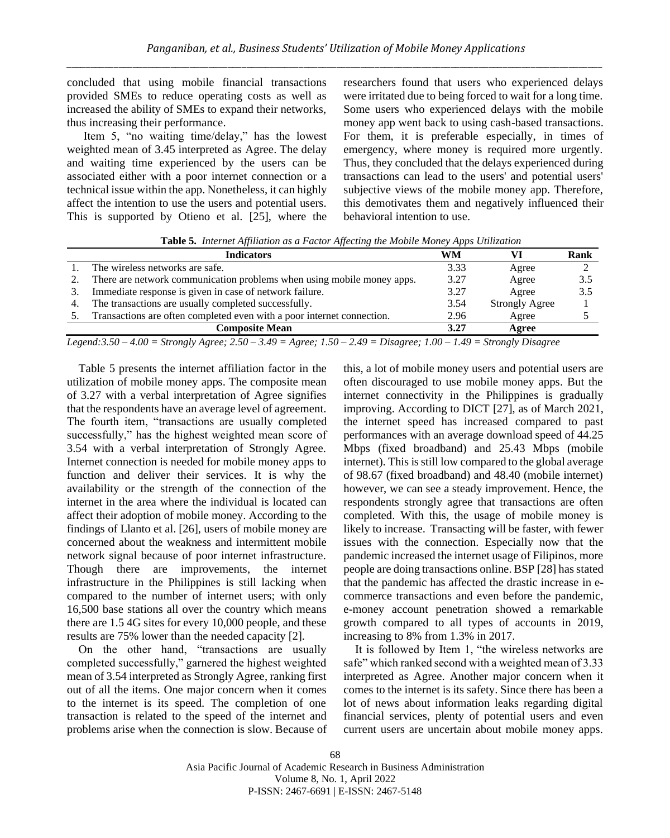concluded that using mobile financial transactions provided SMEs to reduce operating costs as well as increased the ability of SMEs to expand their networks, thus increasing their performance.

Item 5, "no waiting time/delay," has the lowest weighted mean of 3.45 interpreted as Agree. The delay and waiting time experienced by the users can be associated either with a poor internet connection or a technical issue within the app. Nonetheless, it can highly affect the intention to use the users and potential users. This is supported by Otieno et al. [25], where the

researchers found that users who experienced delays were irritated due to being forced to wait for a long time. Some users who experienced delays with the mobile money app went back to using cash-based transactions. For them, it is preferable especially, in times of emergency, where money is required more urgently. Thus, they concluded that the delays experienced during transactions can lead to the users' and potential users' subjective views of the mobile money app. Therefore, this demotivates them and negatively influenced their behavioral intention to use.

**Table 5.** *Internet Affiliation as a Factor Affecting the Mobile Money Apps Utilization*

|    | <b>Indicators</b>                                                                                                                                                                                                                             | WM                          |                       | Rank |
|----|-----------------------------------------------------------------------------------------------------------------------------------------------------------------------------------------------------------------------------------------------|-----------------------------|-----------------------|------|
|    | The wireless networks are safe.                                                                                                                                                                                                               | 3.33                        | Agree                 |      |
|    | There are network communication problems when using mobile money apps.                                                                                                                                                                        | 3.27                        | Agree                 | 3.5  |
| 3. | Immediate response is given in case of network failure.                                                                                                                                                                                       | 3.27                        | Agree                 | 3.5  |
| 4. | The transactions are usually completed successfully.                                                                                                                                                                                          | 3.54                        | <b>Strongly Agree</b> |      |
|    | Transactions are often completed even with a poor internet connection.                                                                                                                                                                        | 2.96                        | Agree                 |      |
|    | <b>Composite Mean</b>                                                                                                                                                                                                                         | 3.27                        | Agree                 |      |
|    | $\mathbf{r}$ . A so a so that is seen as soon in the second second second second second second second second second second second second second second second second second second second second second second second second seco<br>$\cdots$ | $\sim$ $\sim$ $\sim$ $\sim$ | $\sim$ $\sim$ $\sim$  |      |

*Legend:3.50 – 4.00 = Strongly Agree; 2.50 – 3.49 = Agree; 1.50 – 2.49 = Disagree; 1.00 – 1.49 = Strongly Disagree*

Table 5 presents the internet affiliation factor in the utilization of mobile money apps. The composite mean of 3.27 with a verbal interpretation of Agree signifies that the respondents have an average level of agreement. The fourth item, "transactions are usually completed successfully," has the highest weighted mean score of 3.54 with a verbal interpretation of Strongly Agree. Internet connection is needed for mobile money apps to function and deliver their services. It is why the availability or the strength of the connection of the internet in the area where the individual is located can affect their adoption of mobile money. According to the findings of Llanto et al. [26], users of mobile money are concerned about the weakness and intermittent mobile network signal because of poor internet infrastructure. Though there are improvements, the internet infrastructure in the Philippines is still lacking when compared to the number of internet users; with only 16,500 base stations all over the country which means there are 1.5 4G sites for every 10,000 people, and these results are 75% lower than the needed capacity [2].

On the other hand, "transactions are usually completed successfully," garnered the highest weighted mean of 3.54 interpreted as Strongly Agree, ranking first out of all the items. One major concern when it comes to the internet is its speed. The completion of one transaction is related to the speed of the internet and problems arise when the connection is slow. Because of

this, a lot of mobile money users and potential users are often discouraged to use mobile money apps. But the internet connectivity in the Philippines is gradually improving. According to DICT [27], as of March 2021, the internet speed has increased compared to past performances with an average download speed of 44.25 Mbps (fixed broadband) and 25.43 Mbps (mobile internet). This is still low compared to the global average of 98.67 (fixed broadband) and 48.40 (mobile internet) however, we can see a steady improvement. Hence, the respondents strongly agree that transactions are often completed. With this, the usage of mobile money is likely to increase. Transacting will be faster, with fewer issues with the connection. Especially now that the pandemic increased the internet usage of Filipinos, more people are doing transactions online. BSP [28] has stated that the pandemic has affected the drastic increase in ecommerce transactions and even before the pandemic, e-money account penetration showed a remarkable growth compared to all types of accounts in 2019, increasing to 8% from 1.3% in 2017.

It is followed by Item 1, "the wireless networks are safe" which ranked second with a weighted mean of 3.33 interpreted as Agree. Another major concern when it comes to the internet is its safety. Since there has been a lot of news about information leaks regarding digital financial services, plenty of potential users and even current users are uncertain about mobile money apps.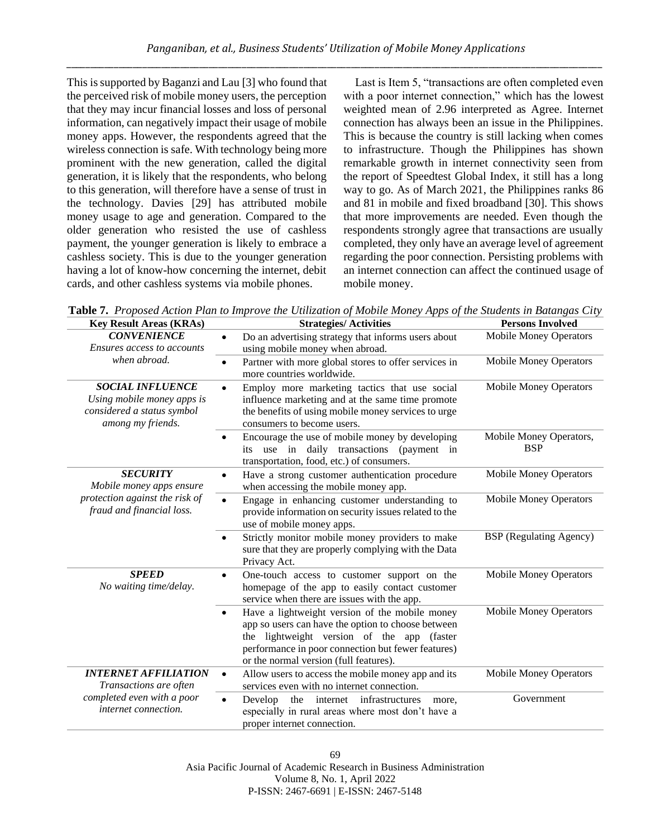This is supported by Baganzi and Lau [3] who found that the perceived risk of mobile money users, the perception that they may incur financial losses and loss of personal information, can negatively impact their usage of mobile money apps. However, the respondents agreed that the wireless connection is safe. With technology being more prominent with the new generation, called the digital generation, it is likely that the respondents, who belong to this generation, will therefore have a sense of trust in the technology. Davies [29] has attributed mobile money usage to age and generation. Compared to the older generation who resisted the use of cashless payment, the younger generation is likely to embrace a cashless society. This is due to the younger generation having a lot of know-how concerning the internet, debit cards, and other cashless systems via mobile phones.

Last is Item 5, "transactions are often completed even with a poor internet connection," which has the lowest weighted mean of 2.96 interpreted as Agree. Internet connection has always been an issue in the Philippines. This is because the country is still lacking when comes to infrastructure. Though the Philippines has shown remarkable growth in internet connectivity seen from the report of Speedtest Global Index, it still has a long way to go. As of March 2021, the Philippines ranks 86 and 81 in mobile and fixed broadband [30]. This shows that more improvements are needed. Even though the respondents strongly agree that transactions are usually completed, they only have an average level of agreement regarding the poor connection. Persisting problems with an internet connection can affect the continued usage of mobile money.

| <b>Key Result Areas (KRAs)</b>                                                                             | <b>Strategies/Activities</b>                                                                                                                                                                                                                                       | <b>Persons Involved</b>               |
|------------------------------------------------------------------------------------------------------------|--------------------------------------------------------------------------------------------------------------------------------------------------------------------------------------------------------------------------------------------------------------------|---------------------------------------|
| <b>CONVENIENCE</b><br>Ensures access to accounts                                                           | Do an advertising strategy that informs users about<br>$\bullet$<br>using mobile money when abroad.                                                                                                                                                                | <b>Mobile Money Operators</b>         |
| when abroad.                                                                                               | Partner with more global stores to offer services in<br>$\bullet$<br>more countries worldwide.                                                                                                                                                                     | <b>Mobile Money Operators</b>         |
| <b>SOCIAL INFLUENCE</b><br>Using mobile money apps is<br>considered a status symbol<br>among my friends.   | Employ more marketing tactics that use social<br>$\bullet$<br>influence marketing and at the same time promote<br>the benefits of using mobile money services to urge<br>consumers to become users.                                                                | <b>Mobile Money Operators</b>         |
|                                                                                                            | Encourage the use of mobile money by developing<br>$\bullet$<br>its use in daily transactions (payment in<br>transportation, food, etc.) of consumers.                                                                                                             | Mobile Money Operators,<br><b>BSP</b> |
| <b>SECURITY</b><br>Mobile money apps ensure<br>protection against the risk of<br>fraud and financial loss. | Have a strong customer authentication procedure<br>$\bullet$<br>when accessing the mobile money app.                                                                                                                                                               | <b>Mobile Money Operators</b>         |
|                                                                                                            | Engage in enhancing customer understanding to<br>$\bullet$<br>provide information on security issues related to the<br>use of mobile money apps.                                                                                                                   | <b>Mobile Money Operators</b>         |
|                                                                                                            | Strictly monitor mobile money providers to make<br>$\bullet$<br>sure that they are properly complying with the Data<br>Privacy Act.                                                                                                                                | <b>BSP</b> (Regulating Agency)        |
| <b>SPEED</b><br>No waiting time/delay.                                                                     | One-touch access to customer support on the<br>$\bullet$<br>homepage of the app to easily contact customer<br>service when there are issues with the app.                                                                                                          | <b>Mobile Money Operators</b>         |
|                                                                                                            | Have a lightweight version of the mobile money<br>$\bullet$<br>app so users can have the option to choose between<br>lightweight version of the app (faster<br>the<br>performance in poor connection but fewer features)<br>or the normal version (full features). | <b>Mobile Money Operators</b>         |
| <b>INTERNET AFFILIATION</b><br>Transactions are often                                                      | Allow users to access the mobile money app and its<br>$\bullet$<br>services even with no internet connection.                                                                                                                                                      | <b>Mobile Money Operators</b>         |
| completed even with a poor<br>internet connection.                                                         | the internet infrastructures<br>Develop<br>$\bullet$<br>more.<br>especially in rural areas where most don't have a<br>proper internet connection.                                                                                                                  | Government                            |

**Table 7.** *Proposed Action Plan to Improve the Utilization of Mobile Money Apps of the Students in Batangas City*

69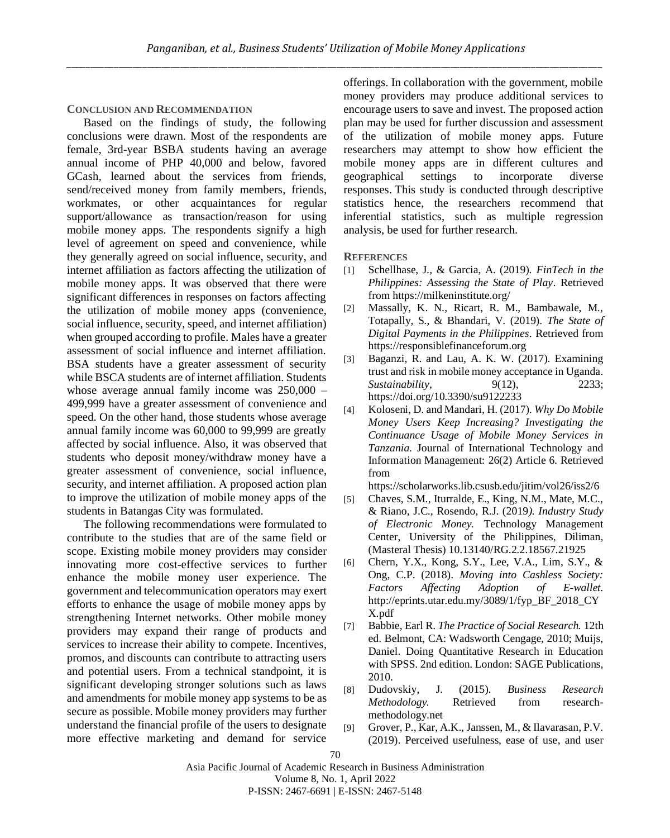#### **CONCLUSION AND RECOMMENDATION**

Based on the findings of study, the following conclusions were drawn. Most of the respondents are female, 3rd-year BSBA students having an average annual income of PHP 40,000 and below, favored GCash, learned about the services from friends, send/received money from family members, friends, workmates, or other acquaintances for regular support/allowance as transaction/reason for using mobile money apps. The respondents signify a high level of agreement on speed and convenience, while they generally agreed on social influence, security, and internet affiliation as factors affecting the utilization of mobile money apps. It was observed that there were significant differences in responses on factors affecting the utilization of mobile money apps (convenience, social influence, security, speed, and internet affiliation) when grouped according to profile. Males have a greater assessment of social influence and internet affiliation. BSA students have a greater assessment of security while BSCA students are of internet affiliation. Students whose average annual family income was  $250,000 -$ 499,999 have a greater assessment of convenience and speed. On the other hand, those students whose average annual family income was 60,000 to 99,999 are greatly affected by social influence. Also, it was observed that students who deposit money/withdraw money have a greater assessment of convenience, social influence, security, and internet affiliation. A proposed action plan to improve the utilization of mobile money apps of the students in Batangas City was formulated.

The following recommendations were formulated to contribute to the studies that are of the same field or scope. Existing mobile money providers may consider innovating more cost-effective services to further enhance the mobile money user experience. The government and telecommunication operators may exert efforts to enhance the usage of mobile money apps by strengthening Internet networks. Other mobile money providers may expand their range of products and services to increase their ability to compete. Incentives, promos, and discounts can contribute to attracting users and potential users. From a technical standpoint, it is significant developing stronger solutions such as laws and amendments for mobile money app systems to be as secure as possible. Mobile money providers may further understand the financial profile of the users to designate more effective marketing and demand for service offerings. In collaboration with the government, mobile money providers may produce additional services to encourage users to save and invest. The proposed action plan may be used for further discussion and assessment of the utilization of mobile money apps. Future researchers may attempt to show how efficient the mobile money apps are in different cultures and geographical settings to incorporate diverse responses. This study is conducted through descriptive statistics hence, the researchers recommend that inferential statistics, such as multiple regression analysis, be used for further research.

**REFERENCES** 

- [1] Schellhase, J., & Garcia, A. (2019). *FinTech in the Philippines: Assessing the State of Play*. Retrieved fro[m https://milkeninstitute.org/](https://milkeninstitute.org/)
- [2] Massally, K. N., Ricart, R. M., Bambawale, M., Totapally, S., & Bhandari, V. (2019). *The State of Digital Payments in the Philippines*. Retrieved from [https://responsiblefinanceforum.org](https://responsiblefinanceforum.org/wpcontent/uploads/2020/02/The_State_of_Digital_Payments_in_the_Philip%20pines-Feb20.pdf)
- [3] Baganzi, R. and Lau, A. K. W. (2017). Examining trust and risk in mobile money acceptance in Uganda*. Sustainability*, 9(12), 2233; https://doi.org/10.3390/su9122233
- [4] Koloseni, D. and Mandari, H. (2017). *Why Do Mobile Money Users Keep Increasing? Investigating the Continuance Usage of Mobile Money Services in Tanzania.* Journal of International Technology and Information Management: 26(2) Article 6. Retrieved from

<https://scholarworks.lib.csusb.edu/jitim/vol26/iss2/6>

- [5] Chaves, S.M., Iturralde, E., King, N.M., Mate, M.C., & Riano, J.C., Rosendo, R.J. (2019*). Industry Study of Electronic Money.* Technology Management Center, University of the Philippines, Diliman, (Masteral Thesis) 10.13140/RG.2.2.18567.21925
- [6] Chern, Y.X., Kong, S.Y., Lee, V.A., Lim, S.Y., & Ong, C.P. (2018). *Moving into Cashless Society: Factors Affecting Adoption of E-wallet.* [http://eprints.utar.edu.my/3089/1/fyp\\_BF\\_2018\\_CY](http://eprints.utar.edu.my/3089/1/fyp_BF_2018_CYX.pdf) [X.pdf](http://eprints.utar.edu.my/3089/1/fyp_BF_2018_CYX.pdf)
- [7] Babbie, Earl R. *The Practice of Social Research.* 12th ed. Belmont, CA: Wadsworth Cengage, 2010; Muijs, Daniel. Doing Quantitative Research in Education with SPSS. 2nd edition. London: SAGE Publications, 2010.
- [8] Dudovskiy, J. (2015). *Business Research Methodology.* Retrieved from researchmethodology.net
- [9] Grover, P., Kar, A.K., Janssen, M., & Ilavarasan, P.V. (2019). Perceived usefulness, ease of use, and user

Asia Pacific Journal of Academic Research in Business Administration Volume 8, No. 1, April 2022 P-ISSN: 2467-6691 | E-ISSN: 2467-5148

<sup>70</sup>